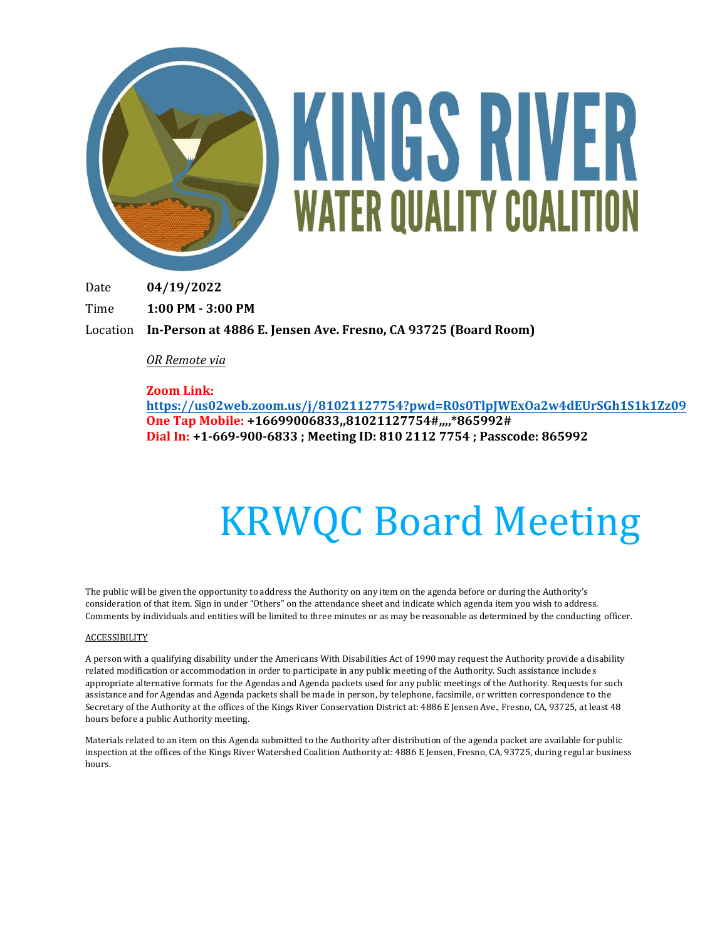

Date **04/19/2022**

Time **1:00 PM - 3:00 PM**

Location **In-Person at 4886 E. Jensen Ave. Fresno, CA 93725 (Board Room)**

### *OR Remote via*

#### **Zoom Link:**

**[https://us02web.zoom.us/j/81021127754?pwd=R0s0TlpJWExOa2w4dEUrSGh1S1k1](https://us02web.zoom.us/j/81021127754?pwd=R0s0TlpJWExOa2w4dEUrSGh1S1k1Zz09)Zz09 One Tap Mobile: +16699006833,,81021127754#,,,,\*865992# Dial In: +1-669-900-6833 ; Meeting ID: 810 2112 7754 ; Passcode: 865992** 

# KRWQC Board Meeting

The public will be given the opportunity to address the Authority on any item on the agenda before or during the Authority's consideration of that item. Sign in under "Others" on the attendance sheet and indicate which agenda item you wish to address. Comments by individuals and entities will be limited to three minutes or as may be reasonable as determined by the conducting officer.

#### **ACCESSIBILITY**

A person with a qualifying disability under the Americans With Disabilities Act of 1990 may request the Authority provide a disability related modification or accommodation in order to participate in any public meeting of the Authority. Such assistance includes appropriate alternative formats for the Agendas and Agenda packets used for any public meetings of the Authority. Requests for such assistance and for Agendas and Agenda packets shall be made in person, by telephone, facsimile, or written correspondence to the Secretary of the Authority at the offices of the Kings River Conservation District at: 4886 E Jensen Ave., Fresno, CA, 93725, at least 48 hours before a public Authority meeting.

Materials related to an item on this Agenda submitted to the Authority after distribution of the agenda packet are available for public inspection at the offices of the Kings River Watershed Coalition Authority at: 4886 E Jensen, Fresno, CA, 93725, during regular business hours.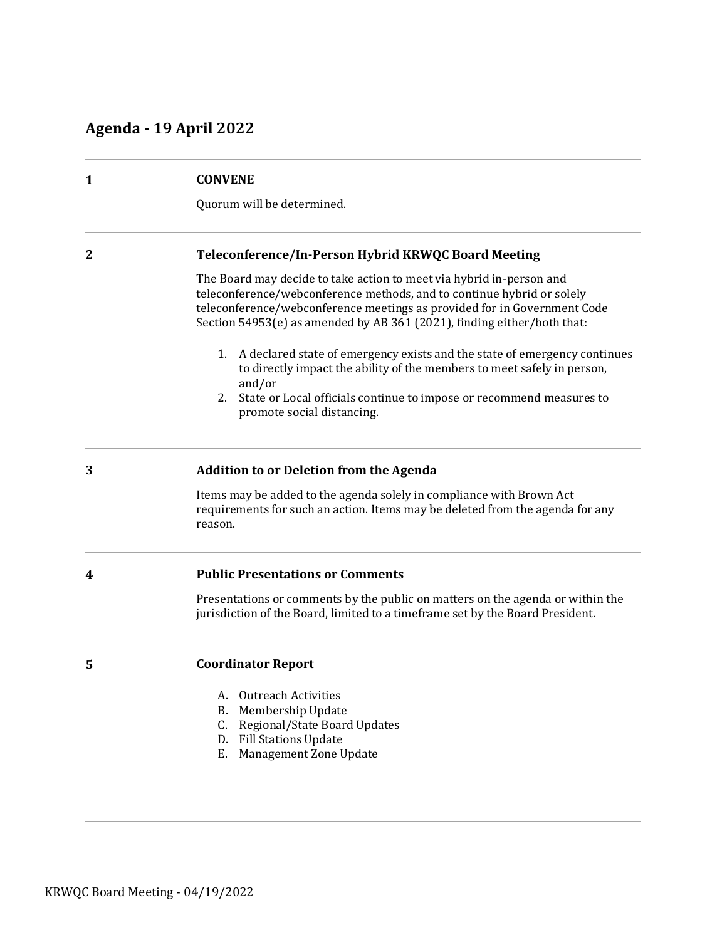# **Agenda - 19 April 2022**

| $\mathbf{1}$                                                                                                                                                                                                                                                                                          | <b>CONVENE</b><br>Quorum will be determined.                                                                                                                     |
|-------------------------------------------------------------------------------------------------------------------------------------------------------------------------------------------------------------------------------------------------------------------------------------------------------|------------------------------------------------------------------------------------------------------------------------------------------------------------------|
|                                                                                                                                                                                                                                                                                                       |                                                                                                                                                                  |
| The Board may decide to take action to meet via hybrid in-person and<br>teleconference/webconference methods, and to continue hybrid or solely<br>teleconference/webconference meetings as provided for in Government Code<br>Section 54953(e) as amended by AB 361 (2021), finding either/both that: |                                                                                                                                                                  |
| 1. A declared state of emergency exists and the state of emergency continues<br>to directly impact the ability of the members to meet safely in person,<br>and/or                                                                                                                                     |                                                                                                                                                                  |
| State or Local officials continue to impose or recommend measures to<br>2.<br>promote social distancing.                                                                                                                                                                                              |                                                                                                                                                                  |
| 3                                                                                                                                                                                                                                                                                                     | Addition to or Deletion from the Agenda                                                                                                                          |
|                                                                                                                                                                                                                                                                                                       | Items may be added to the agenda solely in compliance with Brown Act<br>requirements for such an action. Items may be deleted from the agenda for any<br>reason. |
| 4                                                                                                                                                                                                                                                                                                     | <b>Public Presentations or Comments</b>                                                                                                                          |
|                                                                                                                                                                                                                                                                                                       | Presentations or comments by the public on matters on the agenda or within the<br>jurisdiction of the Board, limited to a timeframe set by the Board President.  |
| 5                                                                                                                                                                                                                                                                                                     | <b>Coordinator Report</b>                                                                                                                                        |
|                                                                                                                                                                                                                                                                                                       | A. Outreach Activities                                                                                                                                           |
|                                                                                                                                                                                                                                                                                                       | Membership Update<br>В.                                                                                                                                          |
|                                                                                                                                                                                                                                                                                                       | Regional/State Board Updates<br>C.<br><b>Fill Stations Update</b><br>D.                                                                                          |
|                                                                                                                                                                                                                                                                                                       | Management Zone Update<br>Ε.                                                                                                                                     |
|                                                                                                                                                                                                                                                                                                       |                                                                                                                                                                  |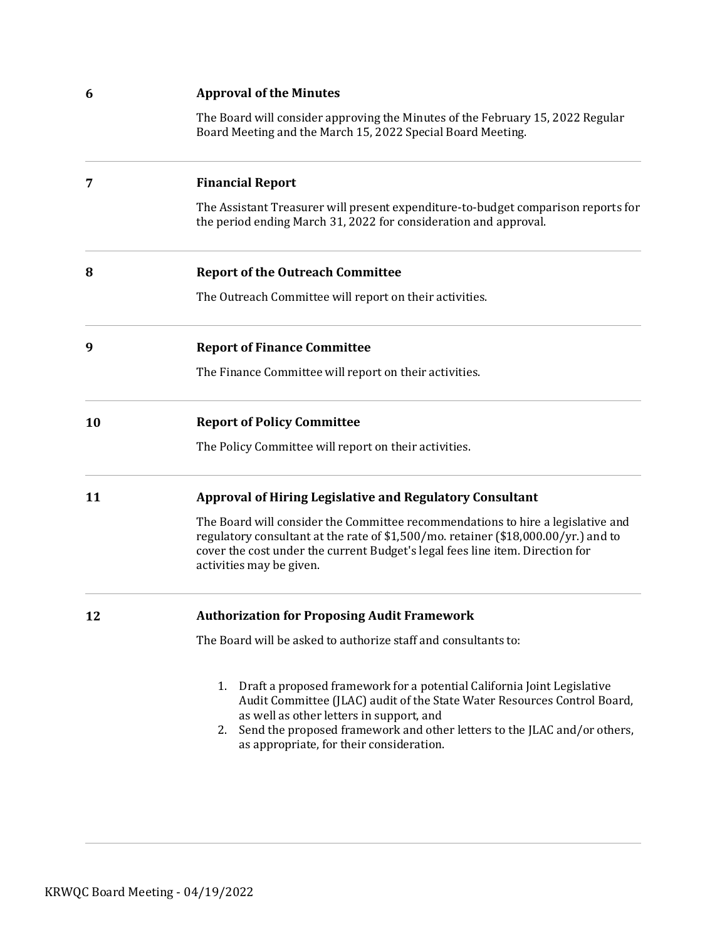| <b>Approval of the Minutes</b>                                                                                                                                                                                                                                                                                                      |
|-------------------------------------------------------------------------------------------------------------------------------------------------------------------------------------------------------------------------------------------------------------------------------------------------------------------------------------|
| The Board will consider approving the Minutes of the February 15, 2022 Regular<br>Board Meeting and the March 15, 2022 Special Board Meeting.                                                                                                                                                                                       |
| <b>Financial Report</b>                                                                                                                                                                                                                                                                                                             |
| The Assistant Treasurer will present expenditure-to-budget comparison reports for<br>the period ending March 31, 2022 for consideration and approval.                                                                                                                                                                               |
| <b>Report of the Outreach Committee</b>                                                                                                                                                                                                                                                                                             |
| The Outreach Committee will report on their activities.                                                                                                                                                                                                                                                                             |
| <b>Report of Finance Committee</b>                                                                                                                                                                                                                                                                                                  |
| The Finance Committee will report on their activities.                                                                                                                                                                                                                                                                              |
| <b>Report of Policy Committee</b>                                                                                                                                                                                                                                                                                                   |
| The Policy Committee will report on their activities.                                                                                                                                                                                                                                                                               |
| <b>Approval of Hiring Legislative and Regulatory Consultant</b>                                                                                                                                                                                                                                                                     |
| The Board will consider the Committee recommendations to hire a legislative and<br>regulatory consultant at the rate of \$1,500/mo. retainer (\$18,000.00/yr.) and to<br>cover the cost under the current Budget's legal fees line item. Direction for<br>activities may be given.                                                  |
| <b>Authorization for Proposing Audit Framework</b>                                                                                                                                                                                                                                                                                  |
| The Board will be asked to authorize staff and consultants to:                                                                                                                                                                                                                                                                      |
| Draft a proposed framework for a potential California Joint Legislative<br>1.<br>Audit Committee (JLAC) audit of the State Water Resources Control Board,<br>as well as other letters in support, and<br>Send the proposed framework and other letters to the JLAC and/or others,<br>2.<br>as appropriate, for their consideration. |
|                                                                                                                                                                                                                                                                                                                                     |